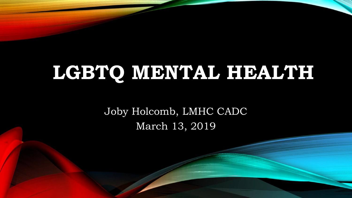# LGBTQ MENTAL HEALTH

Joby Holcomb, LMHC CADC March 13, 2019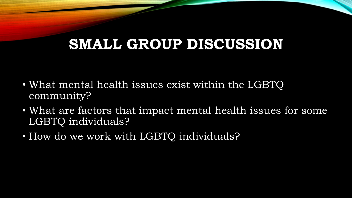## **SMALL GROUP DISCUSSION**

- What mental health issues exist within the LGBTQ community?
- What are factors that impact mental health issues for some LGBTQ individuals?
- How do we work with LGBTQ individuals?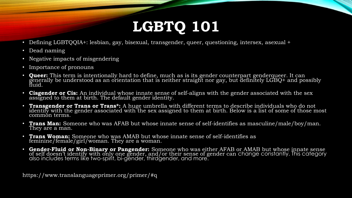# **LGBTQ 101**

- Defining LGBTQQIA+: lesbian, gay, bisexual, transgender, queer, questioning, intersex, asexual +
- Dead naming
- Negative impacts of misgendering
- Importance of pronouns
- **Queer:** This term is intentionally hard to define, much as is its gender counterpart genderqueer. It can generally be understood as an orientation that is neither straight nor gay, but definitely LGBQ+ and possibly fluid.
- **Cisgender or Cis:** An individual whose innate sense of self-aligns with the gender associated with the sex assigned to them at birth. The default gender identity.
- **Transgender or Trans or Trans\*:** A huge umbrella with different terms to describe individuals who do not identify with the gender associated with the sex assigned to them at birth. Below is a list of some of those most common terms.
- **Trans Man:** Someone who was AFAB but whose innate sense of self-identifies as masculine/male/boy/man. They are a man.
- **Trans Woman:** Someone who was AMAB but whose innate sense of self-identifies as feminine/female/girl/woman. They are a woman.
- **Gender-Fluid or Non-Binary or Pangender:** Someone who was either AFAB or AMAB but whose innate sense of self doesn't identify with only one gender, and/or their sense of gender can change constantly. This category also includes terms like two-spirit, bi-gender, thirdgender, and more.

https://www.translanguageprimer.org/primer/#q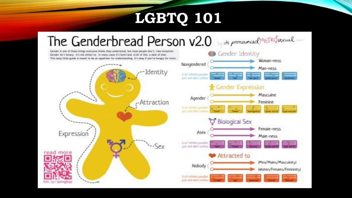## **LGBTQ 101**

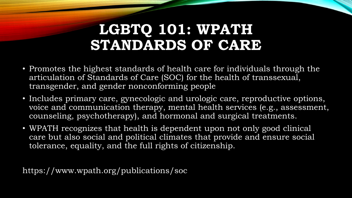## **LGBTQ 101: WPATH STANDARDS OF CARE**

- Promotes the highest standards of health care for individuals through the articulation of Standards of Care (SOC) for the health of transsexual, transgender, and gender nonconforming people
- Includes primary care, gynecologic and urologic care, reproductive options, voice and communication therapy, mental health services (e.g., assessment, counseling, psychotherapy), and hormonal and surgical treatments.
- WPATH recognizes that health is dependent upon not only good clinical care but also social and political climates that provide and ensure social tolerance, equality, and the full rights of citizenship.

https://www.wpath.org/publications/soc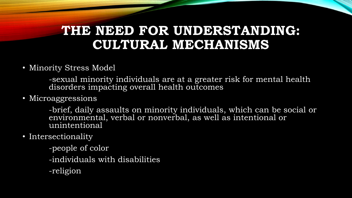#### **THE NEED FOR UNDERSTANDING: CULTURAL MECHANISMS**

• Minority Stress Model

-sexual minority individuals are at a greater risk for mental health disorders impacting overall health outcomes

• Microaggressions

-brief, daily assaults on minority individuals, which can be social or environmental, verbal or nonverbal, as well as intentional or unintentional

- Intersectionality
	- -people of color
	- -individuals with disabilities
	- -religion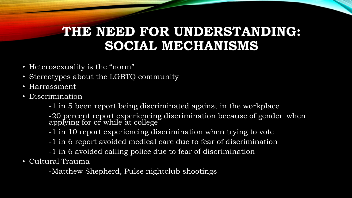#### **THE NEED FOR UNDERSTANDING: SOCIAL MECHANISMS**

- Heterosexuality is the "norm"
- Stereotypes about the LGBTQ community
- Harrassment
- Discrimination

-1 in 5 been report being discriminated against in the workplace

-20 percent report experiencing discrimination because of gender when applying for or while at college

-1 in 10 report experiencing discrimination when trying to vote

- -1 in 6 report avoided medical care due to fear of discrimination
- -1 in 6 avoided calling police due to fear of discrimination
- Cultural Trauma

-Matthew Shepherd, Pulse nightclub shootings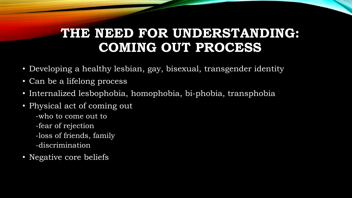## **THE NEED FOR UNDERSTANDING: COMING OUT PROCESS**

- Developing a healthy lesbian, gay, bisexual, transgender identity
- Can be a lifelong process
- Internalized lesbophobia, homophobia, bi-phobia, transphobia
- Physical act of coming out
	- -who to come out to
	- -fear of rejection
	- -loss of friends, family
	- -discrimination
- Negative core beliefs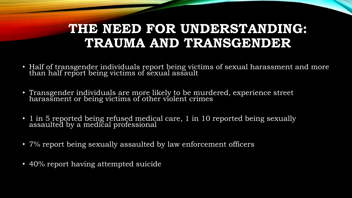#### **THE NEED FOR UNDERSTANDING: TRAUMA AND TRANSGENDER**

- Half of transgender individuals report being victims of sexual harassment and more than half report being victims of sexual assault
- Transgender individuals are more likely to be murdered, experience street harassment or being victims of other violent crimes
- 1 in 5 reported being refused medical care, 1 in 10 reported being sexually assaulted by a medical professional
- 7% report being sexually assaulted by law enforcement officers
- 40% report having attempted suicide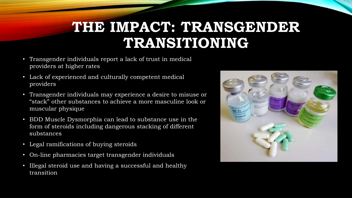## **THE IMPACT: TRANSGENDER TRANSITIONING**

- Transgender individuals report a lack of trust in medical providers at higher rates
- Lack of experienced and culturally competent medical providers
- Transgender individuals may experience a desire to misuse or "stack" other substances to achieve a more masculine look or muscular physique
- BDD Muscle Dysmorphia can lead to substance use in the form of steroids including dangerous stacking of different substances
- Legal ramifications of buying steroids
- On-line pharmacies target transgender individuals
- Illegal steroid use and having a successful and healthy transition

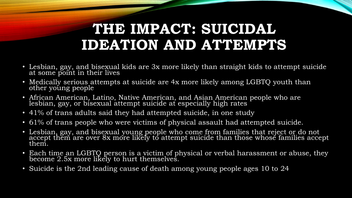## **THE IMPACT: SUICIDAL IDEATION AND ATTEMPTS**

- Lesbian, gay, and bisexual kids are 3x more likely than straight kids to attempt suicide at some point in their lives
- Medically serious attempts at suicide are 4x more likely among LGBTQ youth than other young people
- African American, Latino, Native American, and Asian American people who are lesbian, gay, or bísexual áttempt suicide ať especially high rates
- 41% of trans adults said they had attempted suicide, in one study
- 61% of trans people who were victims of physical assault had attempted suicide.
- Lesbian, gay, and bisexual young people who come from families that reject or do not accept them are over 8x more likely to attempt suicide than those whose families accept them.
- Each time an LGBTQ person is a victim of physical or verbal harassment or abuse, they become 2.5x more likely to hurt themselves.
- Suicide is the 2nd leading cause of death among young people ages 10 to 24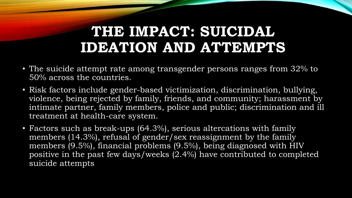## **THE IMPACT: SUICIDAL IDEATION AND ATTEMPTS**

- The suicide attempt rate among transgender persons ranges from 32% to 50% across the countries.
- Risk factors include gender-based victimization, discrimination, bullying, violence, being rejected by family, friends, and community; harassment by intimate partner, family members, police and public; discrimination and ill treatment at health-care system.
- Factors such as break-ups (64.3%), serious altercations with family members (14.3%), refusal of gender/sex reassignment by the family members (9.5%), financial problems (9.5%), being diagnosed with HIV positive in the past few days/weeks (2.4%) have contributed to completed suicide attempts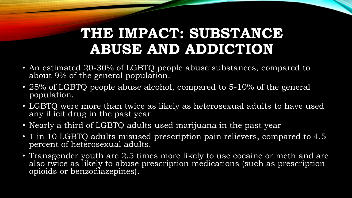## **THE IMPACT: SUBSTANCE ABUSE AND ADDICTION**

- An estimated 20-30% of LGBTQ people abuse substances, compared to about 9% of the general population.
- 25% of LGBTQ people abuse alcohol, compared to 5-10% of the general population.
- LGBTQ were more than twice as likely as heterosexual adults to have used any illicit drug in the past year.
- Nearly a third of LGBTQ adults used marijuana in the past year
- 1 in 10 LGBTQ adults misused prescription pain relievers, compared to 4.5 percent of heterosexual adults.
- Transgender youth are 2.5 times more likely to use cocaine or meth and are also twice as likely to abuse prescription medications (such as prescription opioids or benzodiazepines).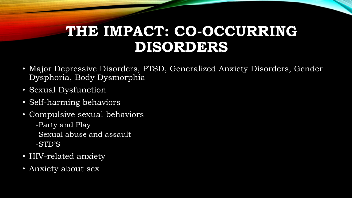## **THE IMPACT: CO-OCCURRING DISORDERS**

- Major Depressive Disorders, PTSD, Generalized Anxiety Disorders, Gender Dysphoria, Body Dysmorphia
- Sexual Dysfunction
- Self-harming behaviors
- Compulsive sexual behaviors -Party and Play -Sexual abuse and assault -STD'S
- HIV-related anxiety
- Anxiety about sex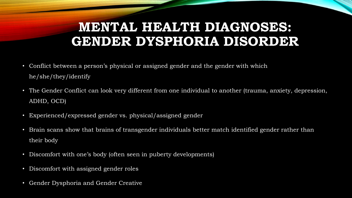## **MENTAL HEALTH DIAGNOSES: GENDER DYSPHORIA DISORDER**

- Conflict between a person's physical or assigned gender and the gender with which he/she/they/identify
- The Gender Conflict can look very different from one individual to another (trauma, anxiety, depression, ADHD, OCD)
- Experienced/expressed gender vs. physical/assigned gender
- Brain scans show that brains of transgender individuals better match identified gender rather than their body
- Discomfort with one's body (often seen in puberty developments)
- Discomfort with assigned gender roles
- Gender Dysphoria and Gender Creative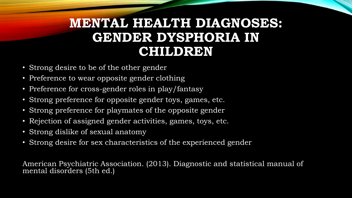## **MENTAL HEALTH DIAGNOSES: GENDER DYSPHORIA IN CHILDREN**

- Strong desire to be of the other gender
- Preference to wear opposite gender clothing
- Preference for cross-gender roles in play/fantasy
- Strong preference for opposite gender toys, games, etc.
- Strong preference for playmates of the opposite gender
- Rejection of assigned gender activities, games, toys, etc.
- Strong dislike of sexual anatomy
- Strong desire for sex characteristics of the experienced gender

American Psychiatric Association. (2013). Diagnostic and statistical manual of mental disorders (5th ed.)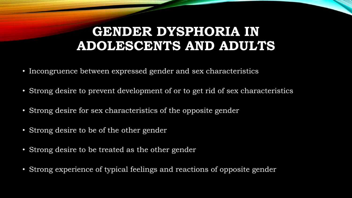#### **GENDER DYSPHORIA IN ADOLESCENTS AND ADULTS**

- Incongruence between expressed gender and sex characteristics
- Strong desire to prevent development of or to get rid of sex characteristics
- Strong desire for sex characteristics of the opposite gender
- Strong desire to be of the other gender
- Strong desire to be treated as the other gender
- Strong experience of typical feelings and reactions of opposite gender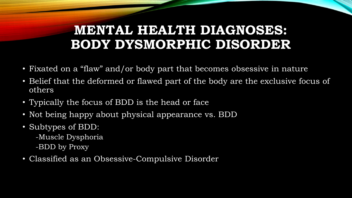## **MENTAL HEALTH DIAGNOSES: BODY DYSMORPHIC DISORDER**

- Fixated on a "flaw" and/or body part that becomes obsessive in nature
- Belief that the deformed or flawed part of the body are the exclusive focus of others
- Typically the focus of BDD is the head or face
- Not being happy about physical appearance vs. BDD
- Subtypes of BDD:
	- -Muscle Dysphoria
	- -BDD by Proxy
- Classified as an Obsessive-Compulsive Disorder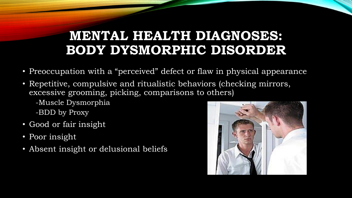## **MENTAL HEALTH DIAGNOSES: BODY DYSMORPHIC DISORDER**

- Preoccupation with a "perceived" defect or flaw in physical appearance
- Repetitive, compulsive and ritualistic behaviors (checking mirrors, excessive grooming, picking, comparisons to others)
	- -Muscle Dysmorphia
	- -BDD by Proxy
- Good or fair insight
- Poor insight
- Absent insight or delusional beliefs

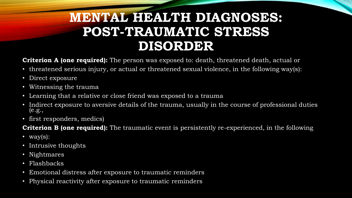## **MENTAL HEALTH DIAGNOSES: POST-TRAUMATIC STRESS DISORDER**

**Criterion A (one required):** The person was exposed to: death, threatened death, actual or

- threatened serious injury, or actual or threatened sexual violence, in the following way(s):
- Direct exposure
- Witnessing the trauma
- Learning that a relative or close friend was exposed to a trauma
- Indirect exposure to aversive details of the trauma, usually in the course of professional duties (e.g.,
- first responders, medics)

**Criterion B (one required):** The traumatic event is persistently re-experienced, in the following

- way $(s)$ :
- Intrusive thoughts
- Nightmares
- Flashbacks
- Emotional distress after exposure to traumatic reminders
- Physical reactivity after exposure to traumatic reminders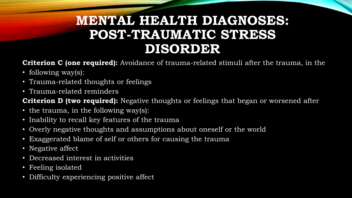## **MENTAL HEALTH DIAGNOSES: POST-TRAUMATIC STRESS DISORDER**

**Criterion C (one required):** Avoidance of trauma-related stimuli after the trauma, in the

- following way(s):
- Trauma-related thoughts or feelings
- Trauma-related reminders

**Criterion D (two required):** Negative thoughts or feelings that began or worsened after

- the trauma, in the following way(s):
- Inability to recall key features of the trauma
- Overly negative thoughts and assumptions about oneself or the world
- Exaggerated blame of self or others for causing the trauma
- Negative affect
- Decreased interest in activities
- Feeling isolated
- Difficulty experiencing positive affect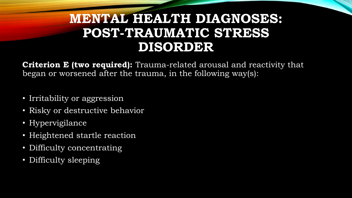## **MENTAL HEALTH DIAGNOSES: POST-TRAUMATIC STRESS DISORDER**

**Criterion E (two required):** Trauma-related arousal and reactivity that began or worsened after the trauma, in the following way(s):

- Irritability or aggression
- Risky or destructive behavior
- Hypervigilance
- Heightened startle reaction
- Difficulty concentrating
- Difficulty sleeping